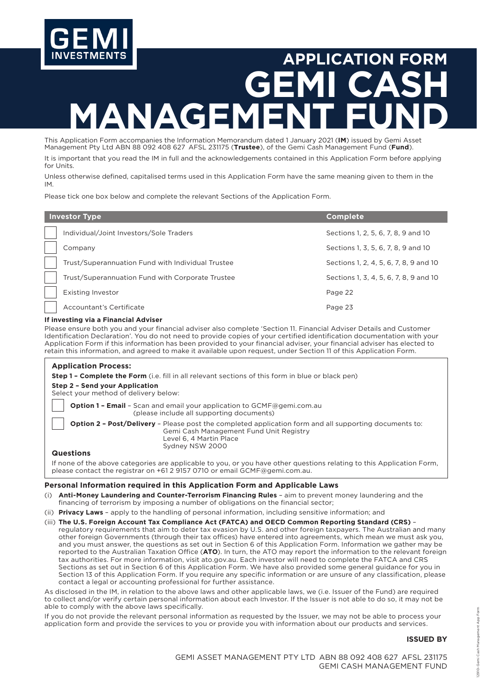

# **APPLICATION FORM GEMI CASH**  AGE

This Application Form accompanies the Information Memorandum dated 1 January 2021 (**IM**) issued by Gemi Asset Management Pty Ltd ABN 88 092 408 627 AFSL 231175 (**Trustee**), of the Gemi Cash Management Fund (**Fund**). It is important that you read the IM in full and the acknowledgements contained in this Application Form before applying for Units.

Unless otherwise defined, capitalised terms used in this Application Form have the same meaning given to them in the IM.

Please tick one box below and complete the relevant Sections of the Application Form.

| <b>Investor Type</b> |                                                   | <b>Complete</b>                        |
|----------------------|---------------------------------------------------|----------------------------------------|
|                      | Individual/Joint Investors/Sole Traders           | Sections 1, 2, 5, 6, 7, 8, 9 and 10    |
|                      | Company                                           | Sections 1, 3, 5, 6, 7, 8, 9 and 10    |
|                      | Trust/Superannuation Fund with Individual Trustee | Sections 1, 2, 4, 5, 6, 7, 8, 9 and 10 |
|                      | Trust/Superannuation Fund with Corporate Trustee  | Sections 1, 3, 4, 5, 6, 7, 8, 9 and 10 |
|                      | <b>Existing Investor</b>                          | Page 22                                |
|                      | Accountant's Certificate                          | Page 23                                |

#### **If investing via a Financial Adviser**

Please ensure both you and your financial adviser also complete 'Section 11. Financial Adviser Details and Customer Identification Declaration'. You do not need to provide copies of your certified identification documentation with your Application Form if this information has been provided to your financial adviser, your financial adviser has elected to retain this information, and agreed to make it available upon request, under Section 11 of this Application Form.

| <b>Application Process:</b><br><b>Step 1 - Complete the Form</b> (i.e. fill in all relevant sections of this form in blue or black pen)<br>Step 2 - Send your Application                              |
|--------------------------------------------------------------------------------------------------------------------------------------------------------------------------------------------------------|
| Select your method of delivery below:                                                                                                                                                                  |
| <b>Option 1 - Email</b> - Scan and email your application to $GCMF$ @gemi.com.au<br>(please include all supporting documents)                                                                          |
| <b>Option 2 - Post/Delivery</b> - Please post the completed application form and all supporting documents to:<br>Gemi Cash Management Fund Unit Registry<br>Level 6, 4 Martin Place<br>Sydney NSW 2000 |
| <b>Questions</b>                                                                                                                                                                                       |
| If none of the above categories are applicable to you, or you have other questions relating to this Application Form,<br>please contact the registrar on $+612$ 9157 0710 or email GCMF@gemi.com.au.   |

#### **Personal Information required in this Application Form and Applicable Laws**

- (i) **Anti-Money Laundering and Counter-Terrorism Financing Rules** aim to prevent money laundering and the financing of terrorism by imposing a number of obligations on the financial sector;
- (ii) **Privacy Laws** apply to the handling of personal information, including sensitive information; and

#### (iii) **The U.S. Foreign Account Tax Compliance Act (FATCA) and OECD Common Reporting Standard (CRS)** –

regulatory requirements that aim to deter tax evasion by U.S. and other foreign taxpayers. The Australian and many other foreign Governments (through their tax offices) have entered into agreements, which mean we must ask you, and you must answer, the questions as set out in Section 6 of this Application Form. Information we gather may be reported to the Australian Taxation Office (**ATO**). In turn, the ATO may report the information to the relevant foreign tax authorities. For more information, visit [ato.gov.au](http://ato.gov.au). Each investor will need to complete the FATCA and CRS Sections as set out in Section 6 of this Application Form. We have also provided some general guidance for you in Section 13 of this Application Form. If you require any specific information or are unsure of any classification, please contact a legal or accounting professional for further assistance.

As disclosed in the IM, in relation to the above laws and other applicable laws, we (i.e. Issuer of the Fund) are required to collect and/or verify certain personal information about each Investor. If the Issuer is not able to do so, it may not be able to comply with the above laws specifically.

If you do not provide the relevant personal information as requested by the Issuer, we may not be able to process your application form and provide the services to you or provide you with information about our products and services.

#### **ISSUED BY**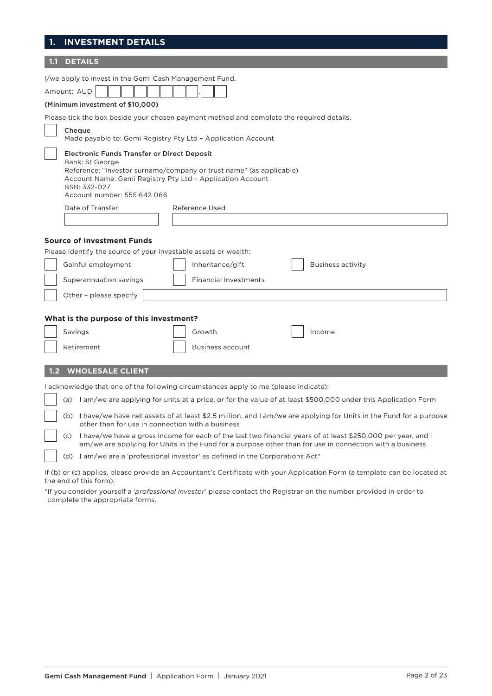## **1. INVESTMENT DETAILS**

| <b>DETAILS</b>                                                                                                                                                                                                                                           |
|----------------------------------------------------------------------------------------------------------------------------------------------------------------------------------------------------------------------------------------------------------|
| I/we apply to invest in the Gemi Cash Management Fund.<br>Amount: AUD<br>(Minimum investment of \$10,000)                                                                                                                                                |
| Please tick the box beside your chosen payment method and complete the required details.                                                                                                                                                                 |
| Cheque<br>Made payable to: Gemi Registry Pty Ltd - Application Account                                                                                                                                                                                   |
| <b>Electronic Funds Transfer or Direct Deposit</b><br>Bank: St George<br>Reference: "Investor surname/company or trust name" (as applicable)<br>Account Name: Gemi Registry Pty Ltd - Application Account<br>BSB: 332-027<br>Account number: 555 642 066 |
| Date of Transfer<br>Reference Used                                                                                                                                                                                                                       |
|                                                                                                                                                                                                                                                          |
|                                                                                                                                                                                                                                                          |
| <b>Source of Investment Funds</b>                                                                                                                                                                                                                        |
| Please identify the source of your investable assets or wealth:                                                                                                                                                                                          |
| <b>Business activity</b><br>Gainful employment<br>Inheritance/gift                                                                                                                                                                                       |
| <b>Financial Investments</b><br>Superannuation savings                                                                                                                                                                                                   |
| Other - please specify                                                                                                                                                                                                                                   |
|                                                                                                                                                                                                                                                          |
| What is the purpose of this investment?                                                                                                                                                                                                                  |
| Savings<br>Growth<br>Income                                                                                                                                                                                                                              |
|                                                                                                                                                                                                                                                          |
| Retirement<br><b>Business account</b>                                                                                                                                                                                                                    |
| <b>WHOLESALE CLIENT</b><br>1.2                                                                                                                                                                                                                           |
| I acknowledge that one of the following circumstances apply to me (please indicate):                                                                                                                                                                     |
| (a) lam/we are applying for units at a price, or for the value of at least \$500,000 under this Application Form                                                                                                                                         |
| (b) I have/we have net assets of at least \$2.5 million, and I am/we are applying for Units in the Fund for a purpose<br>other than for use in connection with a business                                                                                |
| (c) I have/we have a gross income for each of the last two financial years of at least \$250,000 per year, and I                                                                                                                                         |
| am/we are applying for Units in the Fund for a purpose other than for use in connection with a business                                                                                                                                                  |
| (d) $\,$ l am/we are a 'professional investor' as defined in the Corporations Act*                                                                                                                                                                       |

If (b) or (c) applies, please provide an Accountant's Certificate with your Application Form (a template can be located at the end of this form).

\*If you consider yourself a '*professional investor*' please contact the Registrar on the number provided in order to complete the appropriate forms.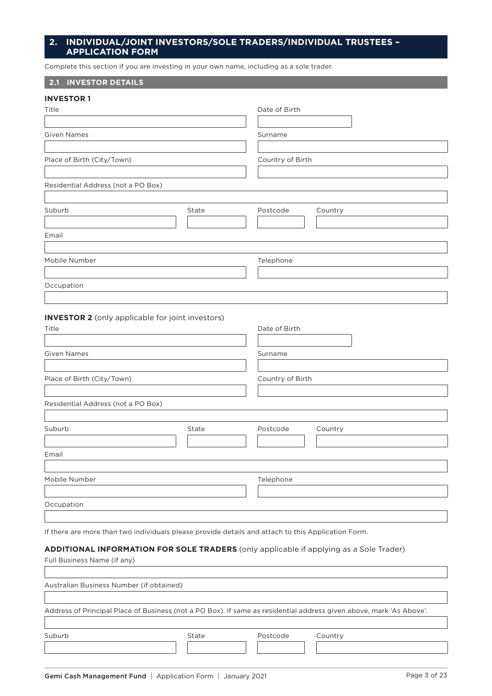## **2. INDIVIDUAL/JOINT INVESTORS/SOLE TRADERS/INDIVIDUAL TRUSTEES – APPLICATION FORM**

Complete this section if you are investing in your own name, including as a sole trader.

## **2.1 INVESTOR DETAILS**

| <b>INVESTOR 1</b>                  |       |                  |         |
|------------------------------------|-------|------------------|---------|
| Title                              |       | Date of Birth    |         |
| <b>Given Names</b>                 |       | Surname          |         |
| Place of Birth (City/Town)         |       | Country of Birth |         |
| Residential Address (not a PO Box) |       |                  |         |
| Suburb                             | State | Postcode         | Country |
| Email                              |       |                  |         |
| Mobile Number                      |       | Telephone        |         |
| Occupation                         |       |                  |         |
|                                    |       |                  |         |

#### **INVESTOR 2** (only applicable for joint investors)

| Surname             |
|---------------------|
| Country of Birth    |
|                     |
| Postcode<br>Country |
|                     |
| Telephone           |
|                     |
|                     |

If there are more than two individuals please provide details and attach to this Application Form.

#### **ADDITIONAL INFORMATION FOR SOLE TRADERS** (only applicable if applying as a Sole Trader)

Full Business Name (if any)

I

Australian Business Number (if obtained)

Address of Principal Place of Business (not a PO Box). If same as residential address given above, mark 'As Above'.

| Suburb | State | Postcode | Country |
|--------|-------|----------|---------|
|        |       |          |         |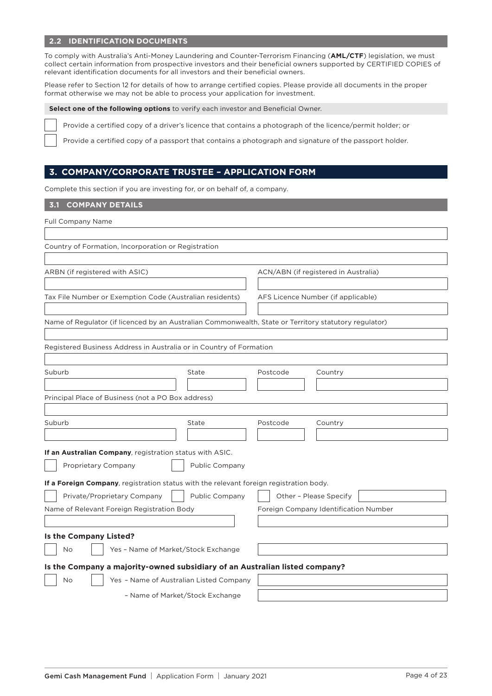## **2.2 IDENTIFICATION DOCUMENTS**

To comply with Australia's Anti-Money Laundering and Counter-Terrorism Financing (**AML/CTF**) legislation, we must collect certain information from prospective investors and their beneficial owners supported by CERTIFIED COPIES of relevant identification documents for all investors and their beneficial owners.

Please refer to Section 12 for details of how to arrange certified copies. Please provide all documents in the proper format otherwise we may not be able to process your application for investment.

**Select one of the following options** to verify each investor and Beneficial Owner.

Provide a certified copy of a driver's licence that contains a photograph of the licence/permit holder; or

Provide a certified copy of a passport that contains a photograph and signature of the passport holder.

## **3. COMPANY/CORPORATE TRUSTEE – APPLICATION FORM**

Complete this section if you are investing for, or on behalf of, a company.

**3.1 COMPANY DETAILS**

Full Company Name

| Country of Formation, Incorporation or Registration                                                   |                |                                      |                                       |
|-------------------------------------------------------------------------------------------------------|----------------|--------------------------------------|---------------------------------------|
| ARBN (if registered with ASIC)                                                                        |                | ACN/ABN (if registered in Australia) |                                       |
| Tax File Number or Exemption Code (Australian residents)                                              |                | AFS Licence Number (if applicable)   |                                       |
| Name of Regulator (if licenced by an Australian Commonwealth, State or Territory statutory regulator) |                |                                      |                                       |
| Registered Business Address in Australia or in Country of Formation                                   |                |                                      |                                       |
| Suburb                                                                                                | State          | Postcode                             | Country                               |
| Principal Place of Business (not a PO Box address)                                                    |                |                                      |                                       |
| Suburb                                                                                                | State          | Postcode                             | Country                               |
| If an Australian Company, registration status with ASIC.<br>Proprietary Company                       | Public Company |                                      |                                       |
| If a Foreign Company, registration status with the relevant foreign registration body.                |                |                                      |                                       |
| Private/Proprietary Company<br>Name of Relevant Foreign Registration Body                             | Public Company | Other - Please Specify               | Foreign Company Identification Number |
| Is the Company Listed?                                                                                |                |                                      |                                       |
| Yes - Name of Market/Stock Exchange<br>No                                                             |                |                                      |                                       |
| Is the Company a majority-owned subsidiary of an Australian listed company?                           |                |                                      |                                       |
| Yes - Name of Australian Listed Company<br>No                                                         |                |                                      |                                       |
| - Name of Market/Stock Exchange                                                                       |                |                                      |                                       |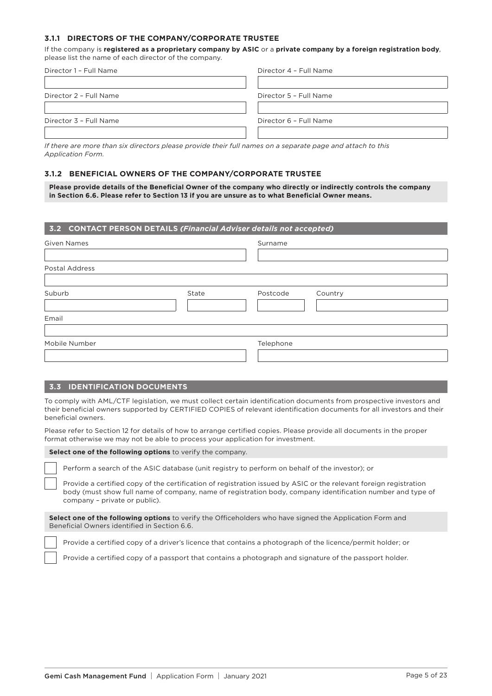#### **3.1.1 DIRECTORS OF THE COMPANY/CORPORATE TRUSTEE**

If the company is **registered as a proprietary company by ASIC** or a **private company by a foreign registration body**, please list the name of each director of the company.

| Director 1 - Full Name | Director 4 - Full Name |
|------------------------|------------------------|
|                        |                        |
| Director 2 - Full Name | Director 5 - Full Name |
|                        |                        |
| Director 3 - Full Name | Director 6 - Full Name |
|                        |                        |

*If there are more than six directors please provide their full names on a separate page and attach to this Application Form.*

#### **3.1.2 BENEFICIAL OWNERS OF THE COMPANY/CORPORATE TRUSTEE**

**Please provide details of the Beneficial Owner of the company who directly or indirectly controls the company in Section 6.6. Please refer to Section 13 if you are unsure as to what Beneficial Owner means.**

| 3.2 CONTACT PERSON DETAILS (Financial Adviser details not accepted) |       |           |         |
|---------------------------------------------------------------------|-------|-----------|---------|
| <b>Given Names</b>                                                  |       | Surname   |         |
| <b>Postal Address</b>                                               |       |           |         |
| Suburb                                                              | State | Postcode  | Country |
| Email                                                               |       |           |         |
| Mobile Number                                                       |       | Telephone |         |

## **3.3 IDENTIFICATION DOCUMENTS**

To comply with AML/CTF legislation, we must collect certain identification documents from prospective investors and their beneficial owners supported by CERTIFIED COPIES of relevant identification documents for all investors and their beneficial owners.

Please refer to Section 12 for details of how to arrange certified copies. Please provide all documents in the proper format otherwise we may not be able to process your application for investment.

#### **Select one of the following options** to verify the company.

Perform a search of the ASIC database (unit registry to perform on behalf of the investor); or

Provide a certified copy of the certification of registration issued by ASIC or the relevant foreign registration body (must show full name of company, name of registration body, company identification number and type of company – private or public).

**Select one of the following options** to verify the Officeholders who have signed the Application Form and Beneficial Owners identified in Section 6.6.

Provide a certified copy of a driver's licence that contains a photograph of the licence/permit holder; or

Provide a certified copy of a passport that contains a photograph and signature of the passport holder.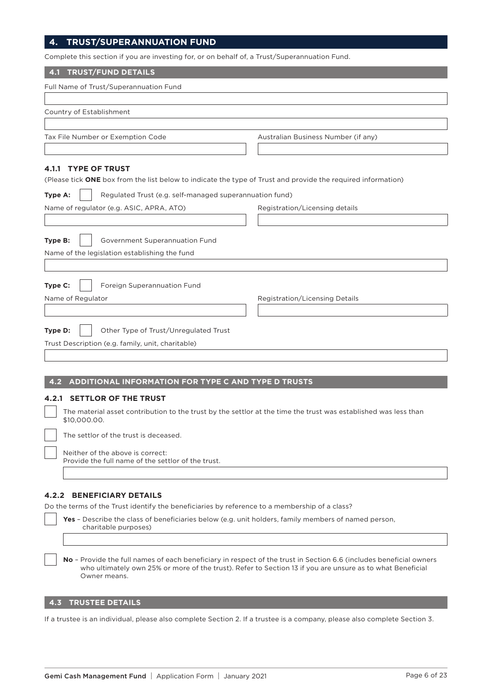## **4. TRUST/SUPERANNUATION FUND**

 $\epsilon$  complete this section if you are investing for, or on behalf of, a Trust/Superannuation Fund.

| Complete this section if you are investing for, or on behalf or, a Trust/Superalmuation Fund.                                   |                                     |
|---------------------------------------------------------------------------------------------------------------------------------|-------------------------------------|
| <b>TRUST/FUND DETAILS</b><br>4.1                                                                                                |                                     |
| Full Name of Trust/Superannuation Fund                                                                                          |                                     |
|                                                                                                                                 |                                     |
| Country of Establishment                                                                                                        |                                     |
|                                                                                                                                 |                                     |
| Tax File Number or Exemption Code                                                                                               | Australian Business Number (if any) |
|                                                                                                                                 |                                     |
| <b>TYPE OF TRUST</b><br>4.1.1                                                                                                   |                                     |
| (Please tick ONE box from the list below to indicate the type of Trust and provide the required information)                    |                                     |
| Type A:<br>Regulated Trust (e.g. self-managed superannuation fund)                                                              |                                     |
| Name of regulator (e.g. ASIC, APRA, ATO)                                                                                        | Registration/Licensing details      |
|                                                                                                                                 |                                     |
| Type B:<br>Government Superannuation Fund                                                                                       |                                     |
| Name of the legislation establishing the fund                                                                                   |                                     |
|                                                                                                                                 |                                     |
|                                                                                                                                 |                                     |
| Type C:<br>Foreign Superannuation Fund                                                                                          |                                     |
| Name of Regulator                                                                                                               | Registration/Licensing Details      |
|                                                                                                                                 |                                     |
| Type D:<br>Other Type of Trust/Unregulated Trust                                                                                |                                     |
| Trust Description (e.g. family, unit, charitable)                                                                               |                                     |
|                                                                                                                                 |                                     |
|                                                                                                                                 |                                     |
| ADDITIONAL INFORMATION FOR TYPE C AND TYPE D TRUSTS<br>4.2                                                                      |                                     |
| <b>4.2.1 SETTLOR OF THE TRUST</b>                                                                                               |                                     |
| The material asset contribution to the trust by the settlor at the time the trust was established was less than<br>\$10,000.00. |                                     |
| The settlor of the trust is deceased.                                                                                           |                                     |
| Neither of the above is correct:<br>Provide the full name of the settlor of the trust.                                          |                                     |
|                                                                                                                                 |                                     |
| <b>4.2.2 BENEFICIARY DETAILS</b>                                                                                                |                                     |
| Do the terms of the Trust identify the beneficiaries by reference to a membership of a class?                                   |                                     |
| Yes - Describe the class of beneficiaries below (e.g. unit holders, family members of named person,                             |                                     |

charitable purposes)

**No** – Provide the full names of each beneficiary in respect of the trust in Section 6.6 (includes beneficial owners who ultimately own 25% or more of the trust). Refer to Section 13 if you are unsure as to what Beneficial Owner means.

## **4.3 TRUSTEE DETAILS**

If a trustee is an individual, please also complete Section 2. If a trustee is a company, please also complete Section 3.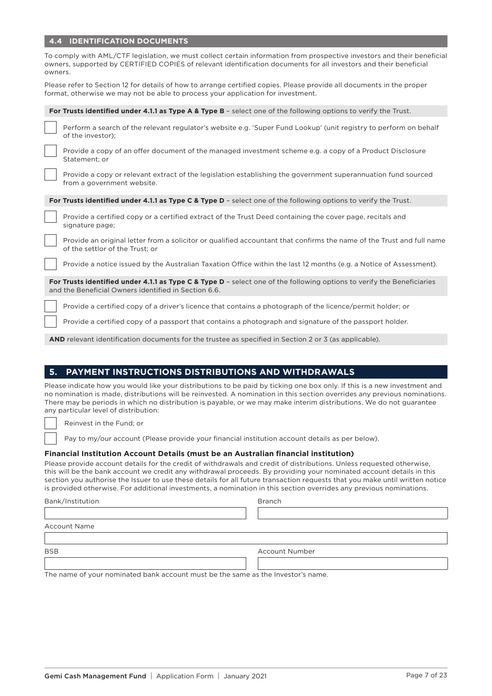## **4.4 IDENTIFICATION DOCUMENTS**

|    | To comply with AML/CTF legislation, we must collect certain information from prospective investors and their beneficial<br>owners, supported by CERTIFIED COPIES of relevant identification documents for all investors and their beneficial<br>owners.                                                                                                                                                                |
|----|------------------------------------------------------------------------------------------------------------------------------------------------------------------------------------------------------------------------------------------------------------------------------------------------------------------------------------------------------------------------------------------------------------------------|
|    | Please refer to Section 12 for details of how to arrange certified copies. Please provide all documents in the proper<br>format, otherwise we may not be able to process your application for investment.                                                                                                                                                                                                              |
|    | For Trusts identified under 4.1.1 as Type A & Type B - select one of the following options to verify the Trust.                                                                                                                                                                                                                                                                                                        |
|    | Perform a search of the relevant regulator's website e.g. 'Super Fund Lookup' (unit registry to perform on behalf<br>of the investor);                                                                                                                                                                                                                                                                                 |
|    | Provide a copy of an offer document of the managed investment scheme e.g. a copy of a Product Disclosure<br>Statement; or                                                                                                                                                                                                                                                                                              |
|    | Provide a copy or relevant extract of the legislation establishing the government superannuation fund sourced<br>from a government website.                                                                                                                                                                                                                                                                            |
|    | For Trusts identified under 4.1.1 as Type C & Type D - select one of the following options to verify the Trust.                                                                                                                                                                                                                                                                                                        |
|    | Provide a certified copy or a certified extract of the Trust Deed containing the cover page, recitals and<br>signature page;                                                                                                                                                                                                                                                                                           |
|    | Provide an original letter from a solicitor or qualified accountant that confirms the name of the Trust and full name<br>of the settlor of the Trust; or                                                                                                                                                                                                                                                               |
|    | Provide a notice issued by the Australian Taxation Office within the last 12 months (e.g. a Notice of Assessment).                                                                                                                                                                                                                                                                                                     |
|    | For Trusts identified under 4.1.1 as Type C & Type $D$ - select one of the following options to verify the Beneficiaries<br>and the Beneficial Owners identified in Section 6.6.                                                                                                                                                                                                                                       |
|    | Provide a certified copy of a driver's licence that contains a photograph of the licence/permit holder; or                                                                                                                                                                                                                                                                                                             |
|    | Provide a certified copy of a passport that contains a photograph and signature of the passport holder.                                                                                                                                                                                                                                                                                                                |
|    | <b>AND</b> relevant identification documents for the trustee as specified in Section 2 or 3 (as applicable).                                                                                                                                                                                                                                                                                                           |
|    |                                                                                                                                                                                                                                                                                                                                                                                                                        |
| 5. | PAYMENT INSTRUCTIONS DISTRIBUTIONS AND WITHDRAWALS                                                                                                                                                                                                                                                                                                                                                                     |
|    | Please indicate how you would like your distributions to be paid by ticking one box only. If this is a new investment and<br>no nomination is made, distributions will be reinvested. A nomination in this section overrides any previous nominations.<br>There may be periods in which no distribution is payable, or we may make interim distributions. We do not guarantee<br>any particular level of distribution: |
|    | Reinvest in the Fund; or                                                                                                                                                                                                                                                                                                                                                                                               |
|    | Pay to my/our account (Please provide your financial institution account details as per below).                                                                                                                                                                                                                                                                                                                        |

#### **Financial Institution Account Details (must be an Australian financial institution)**

Please provide account details for the credit of withdrawals and credit of distributions. Unless requested otherwise, this will be the bank account we credit any withdrawal proceeds. By providing your nominated account details in this section you authorise the Issuer to use these details for all future transaction requests that you make until written notice is provided otherwise. For additional investments, a nomination in this section overrides any previous nominations.

| Bank/Institution    | <b>Branch</b>                                                                   |
|---------------------|---------------------------------------------------------------------------------|
|                     |                                                                                 |
| <b>Account Name</b> |                                                                                 |
|                     |                                                                                 |
| <b>BSB</b>          | <b>Account Number</b>                                                           |
|                     |                                                                                 |
|                     | The name of veur nominated bank account must be the same as the Investor's name |

The name of your nominated bank account must be the same as the Investor's name.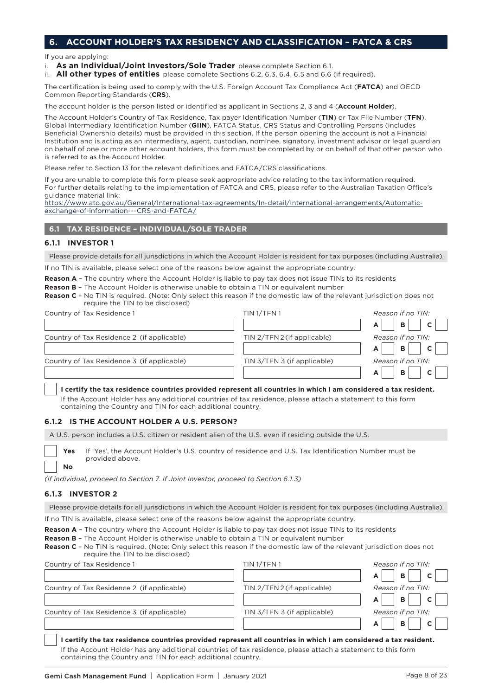## **6. ACCOUNT HOLDER'S TAX RESIDENCY AND CLASSIFICATION – FATCA & CRS**

If you are applying:

- i. **As an Individual/Joint Investors/Sole Trader** please complete Section 6.1.
- ii. **All other types of entities** please complete Sections 6.2, 6.3, 6.4, 6.5 and 6.6 (if required).

The certification is being used to comply with the U.S. Foreign Account Tax Compliance Act (**FATCA**) and OECD Common Reporting Standards (**CRS**).

The account holder is the person listed or identified as applicant in Sections 2, 3 and 4 (**Account Holder**).

The Account Holder's Country of Tax Residence, Tax payer Identification Number (**TIN**) or Tax File Number (**TFN**), Global Intermediary Identification Number (**GIIN**), FATCA Status, CRS Status and Controlling Persons (includes Beneficial Ownership details) must be provided in this section. If the person opening the account is not a Financial Institution and is acting as an intermediary, agent, custodian, nominee, signatory, investment advisor or legal guardian on behalf of one or more other account holders, this form must be completed by or on behalf of that other person who is referred to as the Account Holder.

Please refer to Section 13 for the relevant definitions and FATCA/CRS classifications.

If you are unable to complete this form please seek appropriate advice relating to the tax information required. For further details relating to the implementation of FATCA and CRS, please refer to the Australian Taxation Office's guidance material link:

[https://www.ato.gov.au/General/International-tax-agreements/In-detail/International-arrangements/Automatic](https://www.ato.gov.au/General/International-tax-agreements/In-detail/International-arrangements/Automatic-exchange-of-information---CRS-and-FATCA/)[exchange-of-information---CRS-and-FATCA/](https://www.ato.gov.au/General/International-tax-agreements/In-detail/International-arrangements/Automatic-exchange-of-information---CRS-and-FATCA/)

## **6.1 TAX RESIDENCE – INDIVIDUAL/SOLE TRADER**

#### **6.1.1 INVESTOR 1**

Please provide details for all jurisdictions in which the Account Holder is resident for tax purposes (including Australia).

If no TIN is available, please select one of the reasons below against the appropriate country.

**Reason A** – The country where the Account Holder is liable to pay tax does not issue TINs to its residents

**Reason B** – The Account Holder is otherwise unable to obtain a TIN or equivalent number **Reason C** – No TIN is required. (Note: Only select this reason if the domestic law of the relevant jurisdiction does not require the TIN to be disclosed)

| regance the rink to be disclosed.          |                             |                                     |
|--------------------------------------------|-----------------------------|-------------------------------------|
| Country of Tax Residence 1                 | TIN 1/TFN 1                 | Reason if no TIN:                   |
|                                            |                             | $\mathbf{B}$<br>$\overline{c}$<br>A |
| Country of Tax Residence 2 (if applicable) | TIN 2/TFN 2 (if applicable) | Reason if no TIN:                   |
|                                            |                             | <b>B</b><br>$\overline{c}$          |
| Country of Tax Residence 3 (if applicable) | TIN 3/TFN 3 (if applicable) | Reason if no TIN:                   |
|                                            |                             | B                                   |

#### **I certify the tax residence countries provided represent all countries in which I am considered a tax resident.**

 If the Account Holder has any additional countries of tax residence, please attach a statement to this form containing the Country and TIN for each additional country.

#### **6.1.2 IS THE ACCOUNT HOLDER A U.S. PERSON?**

A U.S. person includes a U.S. citizen or resident alien of the U.S. even if residing outside the U.S.

Yes If 'Yes', the Account Holder's U.S. country of residence and U.S. Tax Identification Number must be provided above. **No**

*(If individual, proceed to Section 7. If Joint Investor, proceed to Section 6.1.3)*

#### **6.1.3 INVESTOR 2**

Please provide details for all jurisdictions in which the Account Holder is resident for tax purposes (including Australia).

If no TIN is available, please select one of the reasons below against the appropriate country.

**Reason A** - The country where the Account Holder is liable to pay tax does not issue TINs to its residents

**Reason B** – The Account Holder is otherwise unable to obtain a TIN or equivalent number

**Reason C** – No TIN is required. (Note: Only select this reason if the domestic law of the relevant jurisdiction does not

| require the TIN to be disclosed)           |                             |                              |
|--------------------------------------------|-----------------------------|------------------------------|
| Country of Tax Residence 1                 | TIN <sub>1/TFN1</sub>       | Reason if no TIN:            |
|                                            |                             | $\mathbf{B}$<br>$\mathbf{C}$ |
| Country of Tax Residence 2 (if applicable) | TIN 2/TFN 2 (if applicable) | Reason if no TIN:            |
|                                            |                             | B.<br>$\mathbf{C}$           |
| Country of Tax Residence 3 (if applicable) | TIN 3/TFN 3 (if applicable) | Reason if no TIN:            |
|                                            |                             | в                            |
|                                            |                             |                              |

**I certify the tax residence countries provided represent all countries in which I am considered a tax resident.** If the Account Holder has any additional countries of tax residence, please attach a statement to this form containing the Country and TIN for each additional country.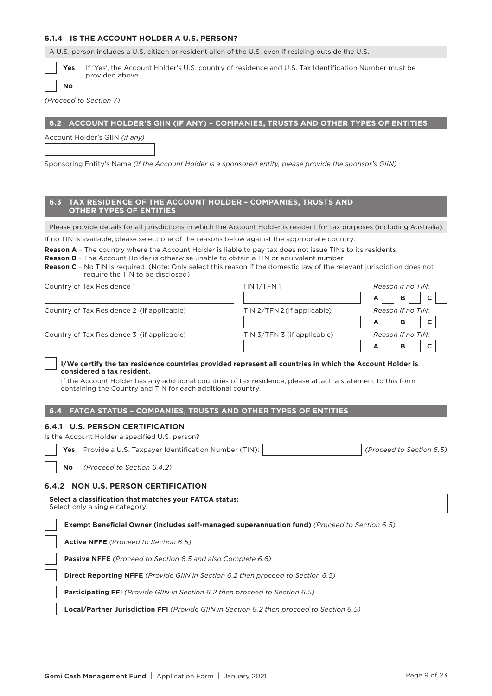| 6.1.4 IS THE ACCOUNT HOLDER A U.S. PERSON?                                                                                                                                                                                                            |                                                                                                                              |
|-------------------------------------------------------------------------------------------------------------------------------------------------------------------------------------------------------------------------------------------------------|------------------------------------------------------------------------------------------------------------------------------|
| A U.S. person includes a U.S. citizen or resident alien of the U.S. even if residing outside the U.S.                                                                                                                                                 |                                                                                                                              |
| Yes<br>provided above.<br>No                                                                                                                                                                                                                          | If 'Yes', the Account Holder's U.S. country of residence and U.S. Tax Identification Number must be                          |
| (Proceed to Section 7)                                                                                                                                                                                                                                |                                                                                                                              |
|                                                                                                                                                                                                                                                       |                                                                                                                              |
| 6.2                                                                                                                                                                                                                                                   | ACCOUNT HOLDER'S GIIN (IF ANY) - COMPANIES, TRUSTS AND OTHER TYPES OF ENTITIES                                               |
| Account Holder's GIIN (if any)                                                                                                                                                                                                                        |                                                                                                                              |
|                                                                                                                                                                                                                                                       |                                                                                                                              |
| Sponsoring Entity's Name (if the Account Holder is a sponsored entity, please provide the sponsor's GIIN)                                                                                                                                             |                                                                                                                              |
| TAX RESIDENCE OF THE ACCOUNT HOLDER - COMPANIES, TRUSTS AND<br>6.3<br><b>OTHER TYPES OF ENTITIES</b>                                                                                                                                                  |                                                                                                                              |
|                                                                                                                                                                                                                                                       | Please provide details for all jurisdictions in which the Account Holder is resident for tax purposes (including Australia). |
| If no TIN is available, please select one of the reasons below against the appropriate country.                                                                                                                                                       |                                                                                                                              |
| <b>Reason A</b> - The country where the Account Holder is liable to pay tax does not issue TINs to its residents<br><b>Reason B</b> - The Account Holder is otherwise unable to obtain a TIN or equivalent number<br>require the TIN to be disclosed) | Reason C - No TIN is required. (Note: Only select this reason if the domestic law of the relevant jurisdiction does not      |
| Country of Tax Residence 1                                                                                                                                                                                                                            | TIN 1/TFN 1<br>Reason if no TIN:                                                                                             |
|                                                                                                                                                                                                                                                       | в<br>A<br>C                                                                                                                  |
| Country of Tax Residence 2 (if applicable)                                                                                                                                                                                                            | Reason if no TIN:<br>TIN 2/TFN 2 (if applicable)<br>в<br>Α<br>С                                                              |
| Country of Tax Residence 3 (if applicable)                                                                                                                                                                                                            | TIN 3/TFN 3 (if applicable)<br>Reason if no TIN:<br>в<br>C<br>А                                                              |
|                                                                                                                                                                                                                                                       | I/We certify the tax residence countries provided represent all countries in which the Account Holder is                     |
| considered a tax resident.<br>containing the Country and TIN for each additional country.                                                                                                                                                             | If the Account Holder has any additional countries of tax residence, please attach a statement to this form                  |
| FATCA STATUS - COMPANIES, TRUSTS AND OTHER TYPES OF ENTITIES<br>6.4                                                                                                                                                                                   |                                                                                                                              |
| <b>6.4.1 U.S. PERSON CERTIFICATION</b>                                                                                                                                                                                                                |                                                                                                                              |
| Is the Account Holder a specified U.S. person?                                                                                                                                                                                                        |                                                                                                                              |
| Provide a U.S. Taxpayer Identification Number (TIN):<br>Yes                                                                                                                                                                                           | (Proceed to Section 6.5)                                                                                                     |
| (Proceed to Section 6.4.2)<br>No                                                                                                                                                                                                                      |                                                                                                                              |
| <b>NON U.S. PERSON CERTIFICATION</b><br>6.4.2                                                                                                                                                                                                         |                                                                                                                              |
| Select a classification that matches your FATCA status:<br>Select only a single category.                                                                                                                                                             |                                                                                                                              |
| Exempt Beneficial Owner (includes self-managed superannuation fund) (Proceed to Section 6.5)                                                                                                                                                          |                                                                                                                              |
| Active NFFE (Proceed to Section 6.5)                                                                                                                                                                                                                  |                                                                                                                              |
| <b>Passive NFFE</b> (Proceed to Section 6.5 and also Complete 6.6)                                                                                                                                                                                    |                                                                                                                              |
| <b>Direct Reporting NFFE</b> (Provide GIIN in Section 6.2 then proceed to Section 6.5)                                                                                                                                                                |                                                                                                                              |
| <b>Participating FFI</b> (Provide GIIN in Section 6.2 then proceed to Section 6.5)                                                                                                                                                                    |                                                                                                                              |
| Local/Partner Jurisdiction FFI (Provide GIIN in Section 6.2 then proceed to Section 6.5)                                                                                                                                                              |                                                                                                                              |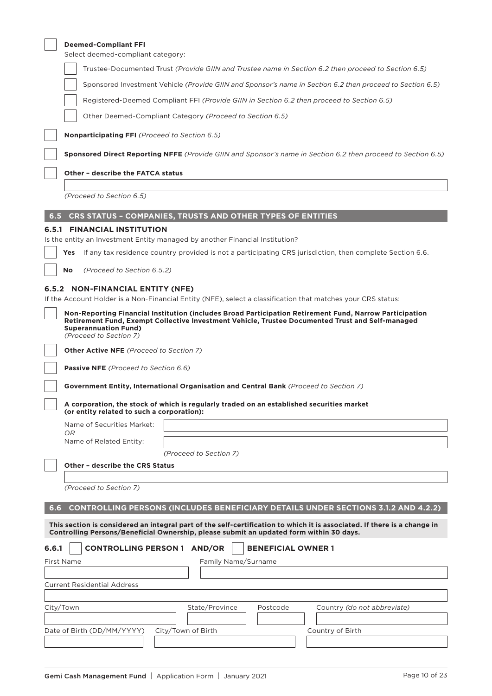|       | <b>Deemed-Compliant FFI</b>                                                                                                                                                                                                                                          |
|-------|----------------------------------------------------------------------------------------------------------------------------------------------------------------------------------------------------------------------------------------------------------------------|
|       | Select deemed-compliant category:                                                                                                                                                                                                                                    |
|       | Trustee-Documented Trust (Provide GIIN and Trustee name in Section 6.2 then proceed to Section 6.5)                                                                                                                                                                  |
|       | Sponsored Investment Vehicle (Provide GIIN and Sponsor's name in Section 6.2 then proceed to Section 6.5)                                                                                                                                                            |
|       | Registered-Deemed Compliant FFI (Provide GIIN in Section 6.2 then proceed to Section 6.5)                                                                                                                                                                            |
|       | Other Deemed-Compliant Category (Proceed to Section 6.5)                                                                                                                                                                                                             |
|       | Nonparticipating FFI (Proceed to Section 6.5)                                                                                                                                                                                                                        |
|       | Sponsored Direct Reporting NFFE (Provide GIIN and Sponsor's name in Section 6.2 then proceed to Section 6.5)                                                                                                                                                         |
|       | <b>Other - describe the FATCA status</b>                                                                                                                                                                                                                             |
|       | (Proceed to Section 6.5)                                                                                                                                                                                                                                             |
| 6.5   | CRS STATUS - COMPANIES, TRUSTS AND OTHER TYPES OF ENTITIES                                                                                                                                                                                                           |
|       | <b>6.5.1 FINANCIAL INSTITUTION</b>                                                                                                                                                                                                                                   |
|       | Is the entity an Investment Entity managed by another Financial Institution?                                                                                                                                                                                         |
|       | If any tax residence country provided is not a participating CRS jurisdiction, then complete Section 6.6.<br>Yes                                                                                                                                                     |
|       | (Proceed to Section 6.5.2)<br>No                                                                                                                                                                                                                                     |
|       | 6.5.2 NON-FINANCIAL ENTITY (NFE)                                                                                                                                                                                                                                     |
|       | If the Account Holder is a Non-Financial Entity (NFE), select a classification that matches your CRS status:                                                                                                                                                         |
|       | Non-Reporting Financial Institution (includes Broad Participation Retirement Fund, Narrow Participation<br>Retirement Fund, Exempt Collective Investment Vehicle, Trustee Documented Trust and Self-managed<br><b>Superannuation Fund)</b><br>(Proceed to Section 7) |
|       | Other Active NFE (Proceed to Section 7)                                                                                                                                                                                                                              |
|       | Passive NFE (Proceed to Section 6.6)                                                                                                                                                                                                                                 |
|       | Government Entity, International Organisation and Central Bank (Proceed to Section 7)                                                                                                                                                                                |
|       | A corporation, the stock of which is regularly traded on an established securities market<br>(or entity related to such a corporation):                                                                                                                              |
|       | Name of Securities Market:                                                                                                                                                                                                                                           |
|       | OR.<br>Name of Related Entity:                                                                                                                                                                                                                                       |
|       | (Proceed to Section 7)                                                                                                                                                                                                                                               |
|       | <b>Other - describe the CRS Status</b>                                                                                                                                                                                                                               |
|       | (Proceed to Section 7)                                                                                                                                                                                                                                               |
| 6.6   | CONTROLLING PERSONS (INCLUDES BENEFICIARY DETAILS UNDER SECTIONS 3.1.2 AND 4.2.2)                                                                                                                                                                                    |
|       | This section is considered an integral part of the self-certification to which it is associated. If there is a change in<br>Controlling Persons/Beneficial Ownership, please submit an updated form within 30 days.                                                  |
| 6.6.1 | <b>CONTROLLING PERSON 1 AND/OR</b><br><b>BENEFICIAL OWNER 1</b>                                                                                                                                                                                                      |
|       | Family Name/Surname<br>First Name                                                                                                                                                                                                                                    |
|       |                                                                                                                                                                                                                                                                      |
|       | <b>Current Residential Address</b>                                                                                                                                                                                                                                   |
|       | State/Province<br>City/Town<br>Postcode<br>Country (do not abbreviate)                                                                                                                                                                                               |
|       |                                                                                                                                                                                                                                                                      |
|       | Date of Birth (DD/MM/YYYY)<br>City/Town of Birth<br>Country of Birth                                                                                                                                                                                                 |
|       |                                                                                                                                                                                                                                                                      |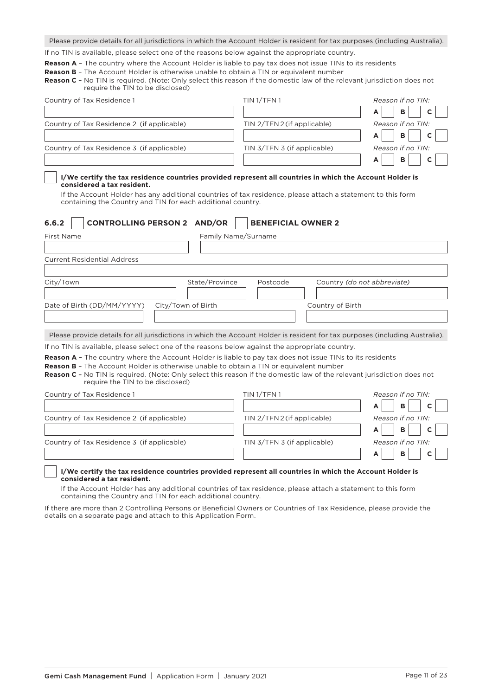Please provide details for all jurisdictions in which the Account Holder is resident for tax purposes (including Australia).

If no TIN is available, please select one of the reasons below against the appropriate country.

**Reason A** – The country where the Account Holder is liable to pay tax does not issue TINs to its residents

**Reason B** – The Account Holder is otherwise unable to obtain a TIN or equivalent number

**Reason C** – No TIN is required. (Note: Only select this reason if the domestic law of the relevant jurisdiction does not require the TIN to be disclosed)

| Country of Tax Residence 1                                                                                                                                                                                                                                                                                                                                                       | TIN <sub>1</sub> /TFN <sub>1</sub> | Reason if no TIN:           |
|----------------------------------------------------------------------------------------------------------------------------------------------------------------------------------------------------------------------------------------------------------------------------------------------------------------------------------------------------------------------------------|------------------------------------|-----------------------------|
|                                                                                                                                                                                                                                                                                                                                                                                  |                                    | в<br>A                      |
| Country of Tax Residence 2 (if applicable)                                                                                                                                                                                                                                                                                                                                       | TIN 2/TFN 2 (if applicable)        | Reason if no TIN:           |
|                                                                                                                                                                                                                                                                                                                                                                                  |                                    | B<br>A<br>C                 |
| Country of Tax Residence 3 (if applicable)                                                                                                                                                                                                                                                                                                                                       | TIN 3/TFN 3 (if applicable)        | Reason if no TIN:           |
|                                                                                                                                                                                                                                                                                                                                                                                  |                                    | в<br>А                      |
| I/We certify the tax residence countries provided represent all countries in which the Account Holder is<br>considered a tax resident.<br>If the Account Holder has any additional countries of tax residence, please attach a statement to this form<br>containing the Country and TIN for each additional country.                                                             |                                    |                             |
| <b>CONTROLLING PERSON 2 AND/OR</b><br>6.6.2                                                                                                                                                                                                                                                                                                                                      | <b>BENEFICIAL OWNER 2</b>          |                             |
| <b>First Name</b>                                                                                                                                                                                                                                                                                                                                                                | Family Name/Surname                |                             |
| <b>Current Residential Address</b>                                                                                                                                                                                                                                                                                                                                               |                                    |                             |
|                                                                                                                                                                                                                                                                                                                                                                                  |                                    |                             |
| City/Town<br>State/Province                                                                                                                                                                                                                                                                                                                                                      | Postcode                           | Country (do not abbreviate) |
| City/Town of Birth<br>Date of Birth (DD/MM/YYYY)                                                                                                                                                                                                                                                                                                                                 | Country of Birth                   |                             |
| Please provide details for all jurisdictions in which the Account Holder is resident for tax purposes (including Australia).                                                                                                                                                                                                                                                     |                                    |                             |
| If no TIN is available, please select one of the reasons below against the appropriate country.                                                                                                                                                                                                                                                                                  |                                    |                             |
| <b>Reason A</b> - The country where the Account Holder is liable to pay tax does not issue TINs to its residents<br><b>Reason B -</b> The Account Holder is otherwise unable to obtain a TIN or equivalent number<br>Reason C - No TIN is required. (Note: Only select this reason if the domestic law of the relevant jurisdiction does not<br>require the TIN to be disclosed) |                                    |                             |
| Country of Tax Residence 1                                                                                                                                                                                                                                                                                                                                                       | TIN <sub>1</sub> /TFN <sub>1</sub> | Reason if no TIN:           |
|                                                                                                                                                                                                                                                                                                                                                                                  |                                    | в                           |
| Country of Tax Residence 2 (if applicable)                                                                                                                                                                                                                                                                                                                                       | TIN 2/TFN 2 (if applicable)        | Reason if no TIN:           |
|                                                                                                                                                                                                                                                                                                                                                                                  |                                    | в<br>А                      |
| Country of Tax Residence 3 (if applicable)                                                                                                                                                                                                                                                                                                                                       | TIN 3/TFN 3 (if applicable)        | Reason if no TIN:           |
|                                                                                                                                                                                                                                                                                                                                                                                  |                                    | B                           |
| I/We certify the tax residence countries provided represent all countries in which the Account Holder is<br>considered a tax resident.                                                                                                                                                                                                                                           |                                    |                             |

 If the Account Holder has any additional countries of tax residence, please attach a statement to this form containing the Country and TIN for each additional country.

If there are more than 2 Controlling Persons or Beneficial Owners or Countries of Tax Residence, please provide the details on a separate page and attach to this Application Form.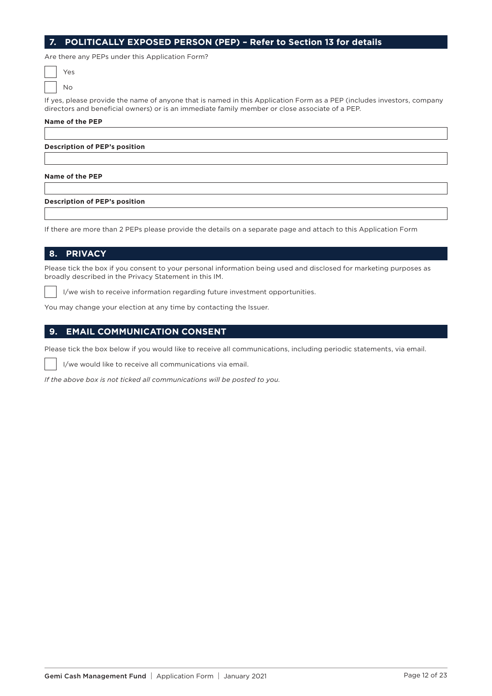## **7. POLITICALLY EXPOSED PERSON (PEP) – Refer to Section 13 for details**

Are there any PEPs under this Application Form?

If yes, please provide the name of anyone that is named in this Application Form as a PEP (includes investors, company directors and beneficial owners) or is an immediate family member or close associate of a PEP.

#### **Name of the PEP**

**Description of PEP's position**

#### **Name of the PEP**

#### **Description of PEP's position**

If there are more than 2 PEPs please provide the details on a separate page and attach to this Application Form

#### **8. PRIVACY**

Please tick the box if you consent to your personal information being used and disclosed for marketing purposes as broadly described in the Privacy Statement in this IM.

I/we wish to receive information regarding future investment opportunities.

You may change your election at any time by contacting the Issuer.

## **9. EMAIL COMMUNICATION CONSENT**

Please tick the box below if you would like to receive all communications, including periodic statements, via email.

I/we would like to receive all communications via email.

*If the above box is not ticked all communications will be posted to you.*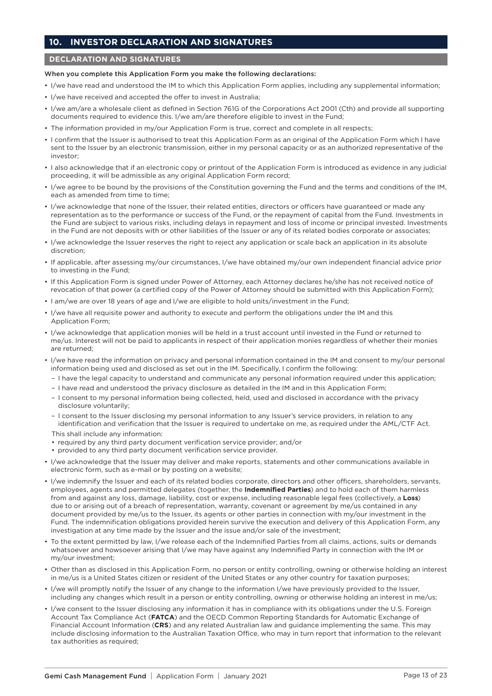## **10. INVESTOR DECLARATION AND SIGNATURES**

#### **DECLARATION AND SIGNATURES**

#### When you complete this Application Form you make the following declarations:

- I/we have read and understood the IM to which this Application Form applies, including any supplemental information;
- I/we have received and accepted the offer to invest in Australia;
- I/we am/are a wholesale client as defined in Section 761G of the Corporations Act 2001 (Cth) and provide all supporting documents required to evidence this. I/we am/are therefore eligible to invest in the Fund;
- The information provided in my/our Application Form is true, correct and complete in all respects;
- I confirm that the Issuer is authorised to treat this Application Form as an original of the Application Form which I have sent to the Issuer by an electronic transmission, either in my personal capacity or as an authorized representative of the investor;
- I also acknowledge that if an electronic copy or printout of the Application Form is introduced as evidence in any judicial proceeding, it will be admissible as any original Application Form record;
- I/we agree to be bound by the provisions of the Constitution governing the Fund and the terms and conditions of the IM, each as amended from time to time;
- I/we acknowledge that none of the Issuer, their related entities, directors or officers have guaranteed or made any representation as to the performance or success of the Fund, or the repayment of capital from the Fund. Investments in the Fund are subject to various risks, including delays in repayment and loss of income or principal invested. Investments in the Fund are not deposits with or other liabilities of the Issuer or any of its related bodies corporate or associates;
- I/we acknowledge the Issuer reserves the right to reject any application or scale back an application in its absolute discretion;
- If applicable, after assessing my/our circumstances, I/we have obtained my/our own independent financial advice prior to investing in the Fund;
- If this Application Form is signed under Power of Attorney, each Attorney declares he/she has not received notice of revocation of that power (a certified copy of the Power of Attorney should be submitted with this Application Form);
- I am/we are over 18 years of age and I/we are eligible to hold units/investment in the Fund;
- I/we have all requisite power and authority to execute and perform the obligations under the IM and this Application Form;
- I/we acknowledge that application monies will be held in a trust account until invested in the Fund or returned to me/us. Interest will not be paid to applicants in respect of their application monies regardless of whether their monies are returned;
- I/we have read the information on privacy and personal information contained in the IM and consent to my/our personal information being used and disclosed as set out in the IM. Specifically, I confirm the following:
	- I have the legal capacity to understand and communicate any personal information required under this application;
	- I have read and understood the privacy disclosure as detailed in the IM and in this Application Form;
	- I consent to my personal information being collected, held, used and disclosed in accordance with the privacy disclosure voluntarily;
	- I consent to the Issuer disclosing my personal information to any Issuer's service providers, in relation to any identification and verification that the Issuer is required to undertake on me, as required under the AML/CTF Act.

This shall include any information:

- required by any third party document verification service provider; and/or
- provided to any third party document verification service provider.
- I/we acknowledge that the Issuer may deliver and make reports, statements and other communications available in electronic form, such as e-mail or by posting on a website;
- I/we indemnify the Issuer and each of its related bodies corporate, directors and other officers, shareholders, servants, employees, agents and permitted delegates (together, the **Indemnified Parties**) and to hold each of them harmless from and against any loss, damage, liability, cost or expense, including reasonable legal fees (collectively, a **Loss**) due to or arising out of a breach of representation, warranty, covenant or agreement by me/us contained in any document provided by me/us to the Issuer, its agents or other parties in connection with my/our investment in the Fund. The indemnification obligations provided herein survive the execution and delivery of this Application Form, any investigation at any time made by the Issuer and the issue and/or sale of the investment;
- To the extent permitted by law, I/we release each of the Indemnified Parties from all claims, actions, suits or demands whatsoever and howsoever arising that I/we may have against any Indemnified Party in connection with the IM or my/our investment;
- Other than as disclosed in this Application Form, no person or entity controlling, owning or otherwise holding an interest in me/us is a United States citizen or resident of the United States or any other country for taxation purposes;
- I/we will promptly notify the Issuer of any change to the information I/we have previously provided to the Issuer, including any changes which result in a person or entity controlling, owning or otherwise holding an interest in me/us;
- I/we consent to the Issuer disclosing any information it has in compliance with its obligations under the U.S. Foreign Account Tax Compliance Act (**FATCA**) and the OECD Common Reporting Standards for Automatic Exchange of Financial Account Information (**CRS**) and any related Australian law and guidance implementing the same. This may include disclosing information to the Australian Taxation Office, who may in turn report that information to the relevant tax authorities as required;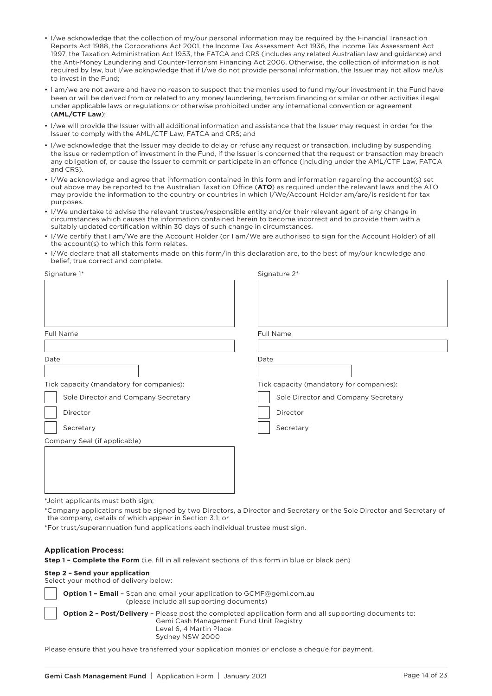- I/we acknowledge that the collection of my/our personal information may be required by the Financial Transaction Reports Act 1988, the Corporations Act 2001, the Income Tax Assessment Act 1936, the Income Tax Assessment Act 1997, the Taxation Administration Act 1953, the FATCA and CRS (includes any related Australian law and guidance) and the Anti-Money Laundering and Counter-Terrorism Financing Act 2006. Otherwise, the collection of information is not required by law, but I/we acknowledge that if I/we do not provide personal information, the Issuer may not allow me/us to invest in the Fund;
- I am/we are not aware and have no reason to suspect that the monies used to fund my/our investment in the Fund have been or will be derived from or related to any money laundering, terrorism financing or similar or other activities illegal under applicable laws or regulations or otherwise prohibited under any international convention or agreement (**AML/CTF Law**);
- I/we will provide the Issuer with all additional information and assistance that the Issuer may request in order for the Issuer to comply with the AML/CTF Law, FATCA and CRS; and
- I/we acknowledge that the Issuer may decide to delay or refuse any request or transaction, including by suspending the issue or redemption of investment in the Fund, if the Issuer is concerned that the request or transaction may breach any obligation of, or cause the Issuer to commit or participate in an offence (including under the AML/CTF Law, FATCA and CRS).
- I/We acknowledge and agree that information contained in this form and information regarding the account(s) set out above may be reported to the Australian Taxation Office (**ATO**) as required under the relevant laws and the ATO may provide the information to the country or countries in which I/We/Account Holder am/are/is resident for tax purposes.
- I/We undertake to advise the relevant trustee/responsible entity and/or their relevant agent of any change in circumstances which causes the information contained herein to become incorrect and to provide them with a suitably updated certification within 30 days of such change in circumstances.
- I/We certify that I am/We are the Account Holder (or I am/We are authorised to sign for the Account Holder) of all the account(s) to which this form relates.
- I/We declare that all statements made on this form/in this declaration are, to the best of my/our knowledge and belief, true correct and complete.

| Signature 1*                             | Signature 2*                             |
|------------------------------------------|------------------------------------------|
|                                          |                                          |
|                                          |                                          |
| Full Name                                | Full Name                                |
| Date                                     | Date                                     |
|                                          |                                          |
| Tick capacity (mandatory for companies): | Tick capacity (mandatory for companies): |
| Sole Director and Company Secretary      | Sole Director and Company Secretary      |
| Director                                 | Director                                 |
| Secretary                                | Secretary                                |
| Company Seal (if applicable)             |                                          |
|                                          |                                          |
|                                          |                                          |
|                                          |                                          |
|                                          |                                          |

\*Joint applicants must both sign;

\*Company applications must be signed by two Directors, a Director and Secretary or the Sole Director and Secretary of the company, details of which appear in Section 3.1; or

\*For trust/superannuation fund applications each individual trustee must sign.

#### **Application Process:**

**Step 1 – Complete the Form** (i.e. fill in all relevant sections of this form in blue or black pen)

#### **Step 2 – Send your application**

Select your method of delivery below:

**Option 1 – Email** – Scan and email your application to [GCMF@gemi.com.au](mailto:GCMF@gemi.com.au)  (please include all supporting documents) **Option 2 – Post/Delivery** – Please post the completed application form and all supporting documents to: Gemi Cash Management Fund Unit Registry Level 6, 4 Martin Place Sydney NSW 2000

Please ensure that you have transferred your application monies or enclose a cheque for payment.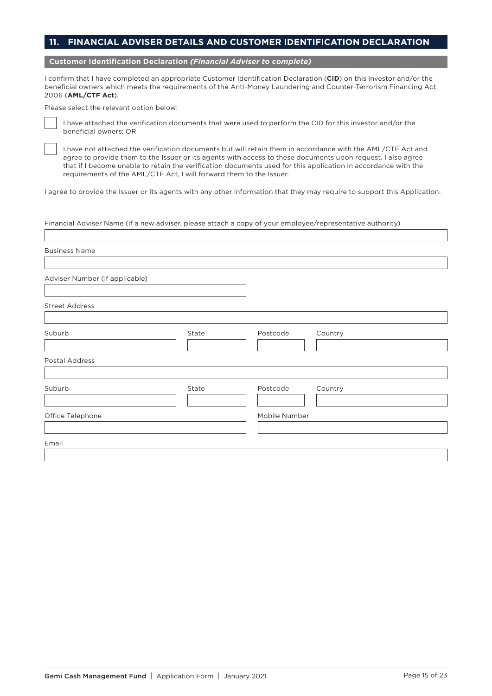## **11. FINANCIAL ADVISER DETAILS AND CUSTOMER IDENTIFICATION DECLARATION**

**Customer Identification Declaration** *(Financial Adviser to complete)*

I confirm that I have completed an appropriate Customer Identification Declaration (**CID**) on this investor and/or the beneficial owners which meets the requirements of the Anti-Money Laundering and Counter-Terrorism Financing Act 2006 (**AML/CTF Act**).

Please select the relevant option below:



I have attached the verification documents that were used to perform the CID for this investor and/or the beneficial owners; OR

I have not attached the verification documents but will retain them in accordance with the AML/CTF Act and agree to provide them to the Issuer or its agents with access to these documents upon request. I also agree that if I become unable to retain the verification documents used for this application in accordance with the requirements of the AML/CTF Act, I will forward them to the Issuer.

I agree to provide the Issuer or its agents with any other information that they may require to support this Application.

Financial Adviser Name (if a new adviser, please attach a copy of your employee/representative authority)

| <b>Business Name</b>           |       |               |         |
|--------------------------------|-------|---------------|---------|
|                                |       |               |         |
| Adviser Number (if applicable) |       |               |         |
| <b>Street Address</b>          |       |               |         |
|                                |       |               |         |
| Suburb                         | State | Postcode      | Country |
|                                |       |               |         |
| Postal Address                 |       |               |         |
|                                |       |               |         |
| Suburb                         | State | Postcode      | Country |
|                                |       |               |         |
| Office Telephone               |       | Mobile Number |         |
|                                |       |               |         |
| Email                          |       |               |         |
|                                |       |               |         |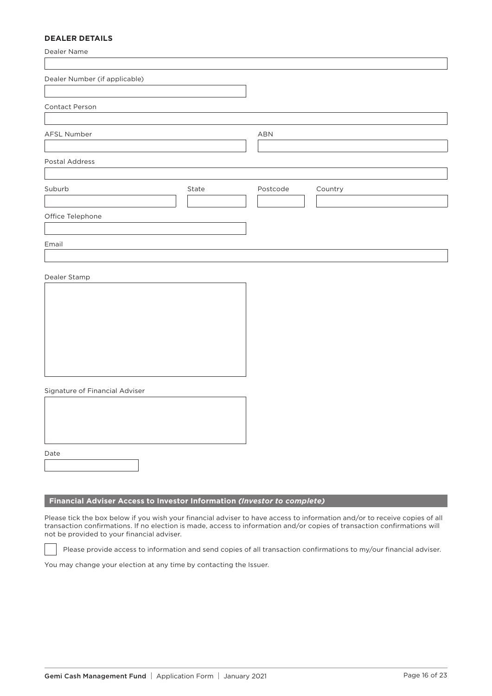## **DEALER DETAILS**

| Dealer Name                    |       |          |         |
|--------------------------------|-------|----------|---------|
| Dealer Number (if applicable)  |       |          |         |
| Contact Person                 |       |          |         |
| AFSL Number                    |       | ABN      |         |
| Postal Address                 |       |          |         |
| Suburb                         | State | Postcode | Country |
| Office Telephone               |       |          |         |
| Email                          |       |          |         |
| Dealer Stamp                   |       |          |         |
| Signature of Financial Adviser |       |          |         |
| Date                           |       |          |         |

## **Financial Adviser Access to Investor Information** *(Investor to complete)*

Please tick the box below if you wish your financial adviser to have access to information and/or to receive copies of all transaction confirmations. If no election is made, access to information and/or copies of transaction confirmations will not be provided to your financial adviser.

Please provide access to information and send copies of all transaction confirmations to my/our financial adviser.

You may change your election at any time by contacting the Issuer.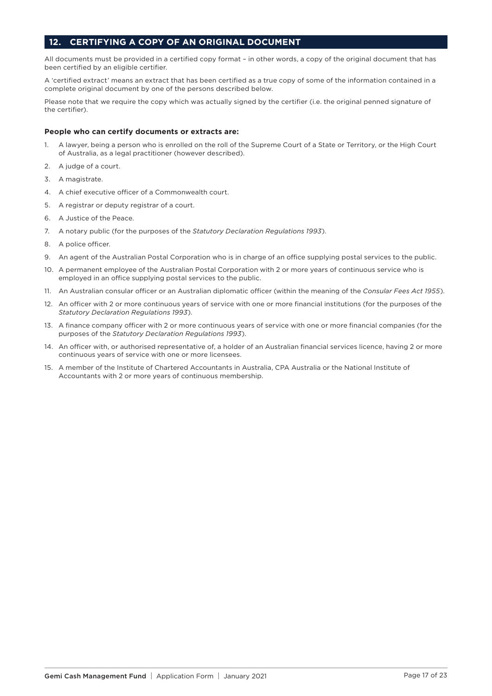## **12. CERTIFYING A COPY OF AN ORIGINAL DOCUMENT**

All documents must be provided in a certified copy format – in other words, a copy of the original document that has been certified by an eligible certifier.

A 'certified extract' means an extract that has been certified as a true copy of some of the information contained in a complete original document by one of the persons described below.

Please note that we require the copy which was actually signed by the certifier (i.e. the original penned signature of the certifier).

#### **People who can certify documents or extracts are:**

- 1. A lawyer, being a person who is enrolled on the roll of the Supreme Court of a State or Territory, or the High Court of Australia, as a legal practitioner (however described).
- 2. A judge of a court.
- 3. A magistrate.
- 4. A chief executive officer of a Commonwealth court.
- 5. A registrar or deputy registrar of a court.
- 6. A Justice of the Peace.
- 7. A notary public (for the purposes of the *Statutory Declaration Regulations 1993*).
- 8. A police officer.
- 9. An agent of the Australian Postal Corporation who is in charge of an office supplying postal services to the public.
- 10. A permanent employee of the Australian Postal Corporation with 2 or more years of continuous service who is employed in an office supplying postal services to the public.
- 11. An Australian consular officer or an Australian diplomatic officer (within the meaning of the *Consular Fees Act 1955*).
- 12. An officer with 2 or more continuous years of service with one or more financial institutions (for the purposes of the *Statutory Declaration Regulations 1993*).
- 13. A finance company officer with 2 or more continuous years of service with one or more financial companies (for the purposes of the *Statutory Declaration Regulations 1993*).
- 14. An officer with, or authorised representative of, a holder of an Australian financial services licence, having 2 or more continuous years of service with one or more licensees.
- 15. A member of the Institute of Chartered Accountants in Australia, CPA Australia or the National Institute of Accountants with 2 or more years of continuous membership.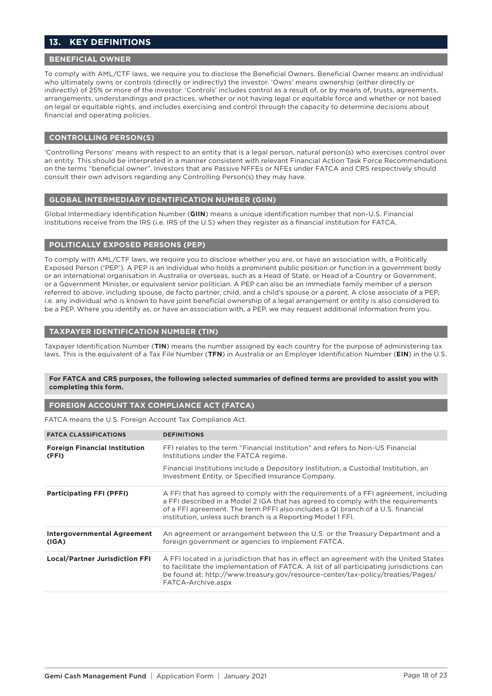## **13. KEY DEFINITIONS**

## **BENEFICIAL OWNER**

To comply with AML/CTF laws, we require you to disclose the Beneficial Owners. Beneficial Owner means an individual who ultimately owns or controls (directly or indirectly) the investor. 'Owns' means ownership (either directly or indirectly) of 25% or more of the investor. 'Controls' includes control as a result of, or by means of, trusts, agreements, arrangements, understandings and practices, whether or not having legal or equitable force and whether or not based on legal or equitable rights, and includes exercising and control through the capacity to determine decisions about financial and operating policies.

#### **CONTROLLING PERSON(S)**

'Controlling Persons' means with respect to an entity that is a legal person, natural person(s) who exercises control over an entity. This should be interpreted in a manner consistent with relevant Financial Action Task Force Recommendations on the terms "beneficial owner". Investors that are Passive NFFEs or NFEs under FATCA and CRS respectively should consult their own advisors regarding any Controlling Person(s) they may have.

#### **GLOBAL INTERMEDIARY IDENTIFICATION NUMBER (GIIN)**

Global Intermediary Identification Number (**GIIN**) means a unique identification number that non-U.S. Financial Institutions receive from the IRS (i.e. IRS of the U.S) when they register as a financial institution for FATCA.

#### **POLITICALLY EXPOSED PERSONS (PEP)**

To comply with AML/CTF laws, we require you to disclose whether you are, or have an association with, a Politically Exposed Person ('PEP'). A PEP is an individual who holds a prominent public position or function in a government body or an international organisation in Australia or overseas, such as a Head of State, or Head of a Country or Government, or a Government Minister, or equivalent senior politician. A PEP can also be an immediate family member of a person referred to above, including spouse, de facto partner, child, and a child's spouse or a parent. A close associate of a PEP, i.e. any individual who is known to have joint beneficial ownership of a legal arrangement or entity is also considered to be a PEP. Where you identify as, or have an association with, a PEP, we may request additional information from you.

#### **TAXPAYER IDENTIFICATION NUMBER (TIN)**

Taxpayer Identification Number (**TIN**) means the number assigned by each country for the purpose of administering tax laws. This is the equivalent of a Tax File Number (**TFN**) in Australia or an Employer Identification Number (**EIN**) in the U.S.

#### **For FATCA and CRS purposes, the following selected summaries of defined terms are provided to assist you with completing this form.**

#### **FOREIGN ACCOUNT TAX COMPLIANCE ACT (FATCA)**

FATCA means the U.S. Foreign Account Tax Compliance Act.

| <b>FATCA CLASSIFICATIONS</b>                  | <b>DEFINITIONS</b>                                                                                                                                                                                                                                                                                                        |
|-----------------------------------------------|---------------------------------------------------------------------------------------------------------------------------------------------------------------------------------------------------------------------------------------------------------------------------------------------------------------------------|
| <b>Foreign Financial Institution</b><br>(FFI) | FFI relates to the term "Financial Institution" and refers to Non-US Financial<br>Institutions under the FATCA regime.                                                                                                                                                                                                    |
|                                               | Financial Institutions include a Depository Institution, a Custodial Institution, an<br>Investment Entity, or Specified Insurance Company.                                                                                                                                                                                |
| <b>Participating FFI (PFFI)</b>               | A FFI that has agreed to comply with the requirements of a FFI agreement, including<br>a FFI described in a Model 2 IGA that has agreed to comply with the requirements<br>of a FFI agreement. The term PFFI also includes a QI branch of a U.S. financial<br>institution, unless such branch is a Reporting Model 1 FFI. |
| Intergovernmental Agreement<br>(IGA)          | An agreement or arrangement between the U.S. or the Treasury Department and a<br>foreign government or agencies to implement FATCA.                                                                                                                                                                                       |
| <b>Local/Partner Jurisdiction FFI</b>         | A FFI located in a jurisdiction that has in effect an agreement with the United States<br>to facilitate the implementation of FATCA. A list of all participating jurisdictions can<br>be found at: http://www.treasury.gov/resource-center/tax-policy/treaties/Pages/<br>FATCA-Archive.aspx                               |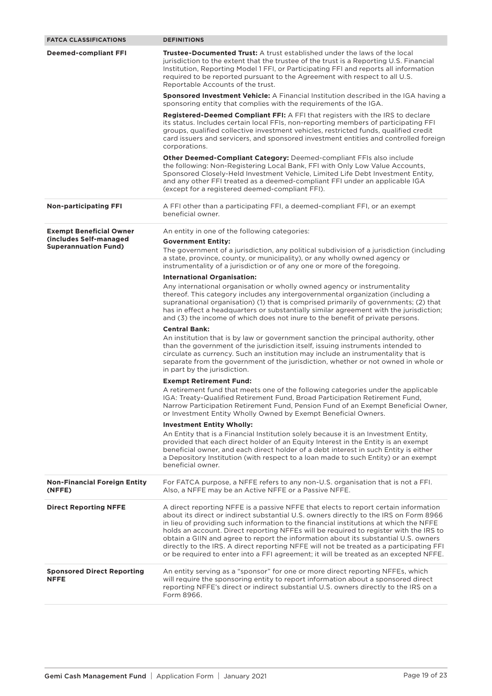| <b>FATCA CLASSIFICATIONS</b>                          | <b>DEFINITIONS</b>                                                                                                                                                                                                                                                                                                                                                                                                                                                                                                                                                                                                                        |
|-------------------------------------------------------|-------------------------------------------------------------------------------------------------------------------------------------------------------------------------------------------------------------------------------------------------------------------------------------------------------------------------------------------------------------------------------------------------------------------------------------------------------------------------------------------------------------------------------------------------------------------------------------------------------------------------------------------|
| <b>Deemed-compliant FFI</b>                           | <b>Trustee-Documented Trust:</b> A trust established under the laws of the local<br>jurisdiction to the extent that the trustee of the trust is a Reporting U.S. Financial<br>Institution, Reporting Model 1 FFI, or Participating FFI and reports all information<br>required to be reported pursuant to the Agreement with respect to all U.S.<br>Reportable Accounts of the trust.                                                                                                                                                                                                                                                     |
|                                                       | <b>Sponsored Investment Vehicle:</b> A Financial Institution described in the IGA having a<br>sponsoring entity that complies with the requirements of the IGA.                                                                                                                                                                                                                                                                                                                                                                                                                                                                           |
|                                                       | <b>Registered-Deemed Compliant FFI:</b> A FFI that registers with the IRS to declare<br>its status. Includes certain local FFIs, non-reporting members of participating FFI<br>groups, qualified collective investment vehicles, restricted funds, qualified credit<br>card issuers and servicers, and sponsored investment entities and controlled foreign<br>corporations.                                                                                                                                                                                                                                                              |
|                                                       | Other Deemed-Compliant Category: Deemed-compliant FFIs also include<br>the following: Non-Registering Local Bank, FFI with Only Low Value Accounts,<br>Sponsored Closely-Held Investment Vehicle, Limited Life Debt Investment Entity,<br>and any other FFI treated as a deemed-compliant FFI under an applicable IGA<br>(except for a registered deemed-compliant FFI).                                                                                                                                                                                                                                                                  |
| <b>Non-participating FFI</b>                          | A FFI other than a participating FFI, a deemed-compliant FFI, or an exempt<br>beneficial owner.                                                                                                                                                                                                                                                                                                                                                                                                                                                                                                                                           |
| <b>Exempt Beneficial Owner</b>                        | An entity in one of the following categories:                                                                                                                                                                                                                                                                                                                                                                                                                                                                                                                                                                                             |
| (includes Self-managed<br><b>Superannuation Fund)</b> | <b>Government Entity:</b><br>The government of a jurisdiction, any political subdivision of a jurisdiction (including<br>a state, province, county, or municipality), or any wholly owned agency or                                                                                                                                                                                                                                                                                                                                                                                                                                       |
|                                                       | instrumentality of a jurisdiction or of any one or more of the foregoing.                                                                                                                                                                                                                                                                                                                                                                                                                                                                                                                                                                 |
|                                                       | <b>International Organisation:</b><br>Any international organisation or wholly owned agency or instrumentality<br>thereof. This category includes any intergovernmental organization (including a<br>supranational organisation) (1) that is comprised primarily of governments; (2) that<br>has in effect a headquarters or substantially similar agreement with the jurisdiction;<br>and (3) the income of which does not inure to the benefit of private persons.                                                                                                                                                                      |
|                                                       | <b>Central Bank:</b>                                                                                                                                                                                                                                                                                                                                                                                                                                                                                                                                                                                                                      |
|                                                       | An institution that is by law or government sanction the principal authority, other<br>than the government of the jurisdiction itself, issuing instruments intended to<br>circulate as currency. Such an institution may include an instrumentality that is<br>separate from the government of the jurisdiction, whether or not owned in whole or<br>in part by the jurisdiction.                                                                                                                                                                                                                                                         |
|                                                       | <b>Exempt Retirement Fund:</b><br>A retirement fund that meets one of the following categories under the applicable<br>IGA: Treaty-Qualified Retirement Fund, Broad Participation Retirement Fund,<br>Narrow Participation Retirement Fund, Pension Fund of an Exempt Beneficial Owner,<br>or Investment Entity Wholly Owned by Exempt Beneficial Owners.                                                                                                                                                                                                                                                                                 |
|                                                       | <b>Investment Entity Wholly:</b><br>An Entity that is a Financial Institution solely because it is an Investment Entity,<br>provided that each direct holder of an Equity Interest in the Entity is an exempt<br>beneficial owner, and each direct holder of a debt interest in such Entity is either<br>a Depository Institution (with respect to a loan made to such Entity) or an exempt<br>beneficial owner.                                                                                                                                                                                                                          |
| <b>Non-Financial Foreign Entity</b><br>(NFFE)         | For FATCA purpose, a NFFE refers to any non-U.S. organisation that is not a FFI.<br>Also, a NFFE may be an Active NFFE or a Passive NFFE.                                                                                                                                                                                                                                                                                                                                                                                                                                                                                                 |
| <b>Direct Reporting NFFE</b>                          | A direct reporting NFFE is a passive NFFE that elects to report certain information<br>about its direct or indirect substantial U.S. owners directly to the IRS on Form 8966<br>in lieu of providing such information to the financial institutions at which the NFFE<br>holds an account. Direct reporting NFFEs will be required to register with the IRS to<br>obtain a GIIN and agree to report the information about its substantial U.S. owners<br>directly to the IRS. A direct reporting NFFE will not be treated as a participating FFI<br>or be required to enter into a FFI agreement; it will be treated as an excepted NFFE. |
| <b>Sponsored Direct Reporting</b><br><b>NFFE</b>      | An entity serving as a "sponsor" for one or more direct reporting NFFEs, which<br>will require the sponsoring entity to report information about a sponsored direct<br>reporting NFFE's direct or indirect substantial U.S. owners directly to the IRS on a<br>Form 8966.                                                                                                                                                                                                                                                                                                                                                                 |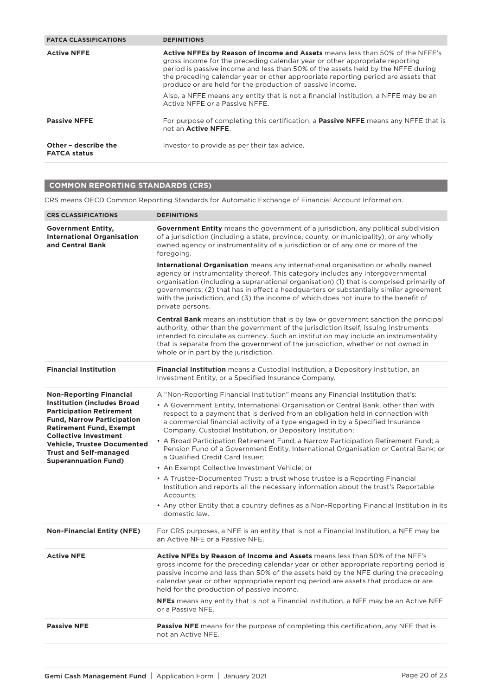| <b>FATCA CLASSIFICATIONS</b>                | <b>DEFINITIONS</b>                                                                                                                                                                                                                                                                                                                                                                                 |
|---------------------------------------------|----------------------------------------------------------------------------------------------------------------------------------------------------------------------------------------------------------------------------------------------------------------------------------------------------------------------------------------------------------------------------------------------------|
| <b>Active NFFE</b>                          | Active NFFEs by Reason of Income and Assets means less than 50% of the NFFE's<br>gross income for the preceding calendar year or other appropriate reporting<br>period is passive income and less than 50% of the assets held by the NFFE during<br>the preceding calendar year or other appropriate reporting period are assets that<br>produce or are held for the production of passive income. |
|                                             | Also, a NFFE means any entity that is not a financial institution, a NFFE may be an<br>Active NFFF or a Passive NFFF.                                                                                                                                                                                                                                                                              |
| <b>Passive NFFE</b>                         | For purpose of completing this certification, a <b>Passive NFFE</b> means any NFFE that is<br>not an Active NFFE.                                                                                                                                                                                                                                                                                  |
| Other - describe the<br><b>FATCA status</b> | Investor to provide as per their tax advice.                                                                                                                                                                                                                                                                                                                                                       |

## **COMMON REPORTING STANDARDS (CRS)**

CRS means OECD Common Reporting Standards for Automatic Exchange of Financial Account Information.

| <b>CRS CLASSIFICATIONS</b>                                                                                                                                                                                                                                                                                           | <b>DEFINITIONS</b>                                                                                                                                                                                                                                                                                                                                                                                                                                                                                                                                                                                                                                                                                                                                                                                                                                                                                                                                                        |
|----------------------------------------------------------------------------------------------------------------------------------------------------------------------------------------------------------------------------------------------------------------------------------------------------------------------|---------------------------------------------------------------------------------------------------------------------------------------------------------------------------------------------------------------------------------------------------------------------------------------------------------------------------------------------------------------------------------------------------------------------------------------------------------------------------------------------------------------------------------------------------------------------------------------------------------------------------------------------------------------------------------------------------------------------------------------------------------------------------------------------------------------------------------------------------------------------------------------------------------------------------------------------------------------------------|
| <b>Government Entity,</b><br><b>International Organisation</b><br>and Central Bank                                                                                                                                                                                                                                   | <b>Government Entity</b> means the government of a jurisdiction, any political subdivision<br>of a jurisdiction (including a state, province, county, or municipality), or any wholly<br>owned agency or instrumentality of a jurisdiction or of any one or more of the<br>foregoing.                                                                                                                                                                                                                                                                                                                                                                                                                                                                                                                                                                                                                                                                                     |
|                                                                                                                                                                                                                                                                                                                      | International Organisation means any international organisation or wholly owned<br>agency or instrumentality thereof. This category includes any intergovernmental<br>organisation (including a supranational organisation) (1) that is comprised primarily of<br>governments; (2) that has in effect a headquarters or substantially similar agreement<br>with the jurisdiction; and (3) the income of which does not inure to the benefit of<br>private persons.                                                                                                                                                                                                                                                                                                                                                                                                                                                                                                        |
|                                                                                                                                                                                                                                                                                                                      | <b>Central Bank</b> means an institution that is by law or government sanction the principal<br>authority, other than the government of the jurisdiction itself, issuing instruments<br>intended to circulate as currency. Such an institution may include an instrumentality<br>that is separate from the government of the jurisdiction, whether or not owned in<br>whole or in part by the jurisdiction.                                                                                                                                                                                                                                                                                                                                                                                                                                                                                                                                                               |
| <b>Financial Institution</b>                                                                                                                                                                                                                                                                                         | <b>Financial Institution</b> means a Custodial Institution, a Depository Institution, an<br>Investment Entity, or a Specified Insurance Company.                                                                                                                                                                                                                                                                                                                                                                                                                                                                                                                                                                                                                                                                                                                                                                                                                          |
| <b>Non-Reporting Financial</b><br><b>Institution (includes Broad</b><br><b>Participation Retirement</b><br><b>Fund, Narrow Participation</b><br><b>Retirement Fund, Exempt</b><br><b>Collective Investment</b><br><b>Vehicle, Trustee Documented</b><br><b>Trust and Self-managed</b><br><b>Superannuation Fund)</b> | A "Non-Reporting Financial Institution" means any Financial Institution that's:<br>• A Government Entity, International Organisation or Central Bank, other than with<br>respect to a payment that is derived from an obligation held in connection with<br>a commercial financial activity of a type engaged in by a Specified Insurance<br>Company, Custodial Institution, or Depository Institution;<br>• A Broad Participation Retirement Fund; a Narrow Participation Retirement Fund; a<br>Pension Fund of a Government Entity, International Organisation or Central Bank; or<br>a Qualified Credit Card Issuer;<br>• An Exempt Collective Investment Vehicle; or<br>• A Trustee-Documented Trust: a trust whose trustee is a Reporting Financial<br>Institution and reports all the necessary information about the trust's Reportable<br>Accounts;<br>• Any other Entity that a country defines as a Non-Reporting Financial Institution in its<br>domestic law. |
| <b>Non-Financial Entity (NFE)</b>                                                                                                                                                                                                                                                                                    | For CRS purposes, a NFE is an entity that is not a Financial Institution, a NFE may be<br>an Active NFE or a Passive NFE.                                                                                                                                                                                                                                                                                                                                                                                                                                                                                                                                                                                                                                                                                                                                                                                                                                                 |
| <b>Active NFE</b>                                                                                                                                                                                                                                                                                                    | Active NFEs by Reason of Income and Assets means less than 50% of the NFE's<br>gross income for the preceding calendar year or other appropriate reporting period is<br>passive income and less than 50% of the assets held by the NFE during the preceding<br>calendar year or other appropriate reporting period are assets that produce or are<br>held for the production of passive income.<br>NFEs means any entity that is not a Financial Institution, a NFE may be an Active NFE<br>or a Passive NFE.                                                                                                                                                                                                                                                                                                                                                                                                                                                             |
| <b>Passive NFE</b>                                                                                                                                                                                                                                                                                                   | <b>Passive NFE</b> means for the purpose of completing this certification, any NFE that is<br>not an Active NFE.                                                                                                                                                                                                                                                                                                                                                                                                                                                                                                                                                                                                                                                                                                                                                                                                                                                          |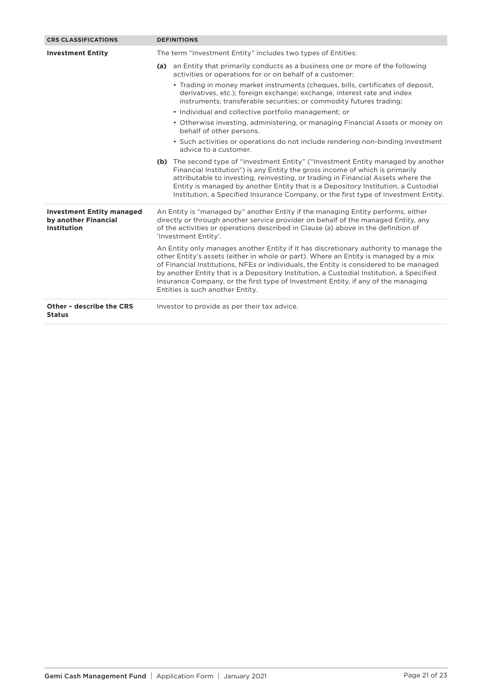| <b>CRS CLASSIFICATIONS</b>                                              | <b>DEFINITIONS</b>                                                                                                                                                                                                                                                                                                                                                                                                                                                                           |  |
|-------------------------------------------------------------------------|----------------------------------------------------------------------------------------------------------------------------------------------------------------------------------------------------------------------------------------------------------------------------------------------------------------------------------------------------------------------------------------------------------------------------------------------------------------------------------------------|--|
| <b>Investment Entity</b>                                                | The term "Investment Entity" includes two types of Entities:                                                                                                                                                                                                                                                                                                                                                                                                                                 |  |
|                                                                         | (a) an Entity that primarily conducts as a business one or more of the following<br>activities or operations for or on behalf of a customer:                                                                                                                                                                                                                                                                                                                                                 |  |
|                                                                         | • Trading in money market instruments (cheques, bills, certificates of deposit,<br>derivatives, etc.); foreign exchange; exchange, interest rate and index<br>instruments; transferable securities; or commodity futures trading;                                                                                                                                                                                                                                                            |  |
|                                                                         | • Individual and collective portfolio management; or                                                                                                                                                                                                                                                                                                                                                                                                                                         |  |
|                                                                         | • Otherwise investing, administering, or managing Financial Assets or money on<br>behalf of other persons.                                                                                                                                                                                                                                                                                                                                                                                   |  |
|                                                                         | • Such activities or operations do not include rendering non-binding investment<br>advice to a customer.                                                                                                                                                                                                                                                                                                                                                                                     |  |
|                                                                         | (b) The second type of "Investment Entity" ("Investment Entity managed by another<br>Financial Institution") is any Entity the gross income of which is primarily<br>attributable to investing, reinvesting, or trading in Financial Assets where the<br>Entity is managed by another Entity that is a Depository Institution, a Custodial<br>Institution, a Specified Insurance Company, or the first type of Investment Entity.                                                            |  |
| <b>Investment Entity managed</b><br>by another Financial<br>Institution | An Entity is "managed by" another Entity if the managing Entity performs, either<br>directly or through another service provider on behalf of the managed Entity, any<br>of the activities or operations described in Clause (a) above in the definition of<br>'Investment Entity'.                                                                                                                                                                                                          |  |
|                                                                         | An Entity only manages another Entity if it has discretionary authority to manage the<br>other Entity's assets (either in whole or part). Where an Entity is managed by a mix<br>of Financial Institutions, NFEs or individuals, the Entity is considered to be managed<br>by another Entity that is a Depository Institution, a Custodial Institution, a Specified<br>Insurance Company, or the first type of Investment Entity, if any of the managing<br>Entities is such another Entity. |  |
| Other - describe the CRS<br><b>Status</b>                               | Investor to provide as per their tax advice.                                                                                                                                                                                                                                                                                                                                                                                                                                                 |  |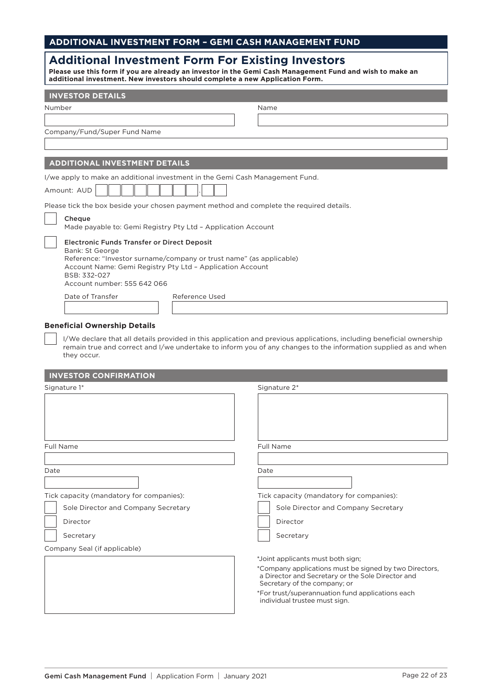## **ADDITIONAL INVESTMENT FORM – GEMI CASH MANAGEMENT FUND**

| <b>Additional Investment Form For Existing Investors</b><br>Please use this form if you are already an investor in the Gemi Cash Management Fund and wish to make an<br>additional investment. New investors should complete a new Application Form. |                                                                                                                                                                                                                                         |  |  |
|------------------------------------------------------------------------------------------------------------------------------------------------------------------------------------------------------------------------------------------------------|-----------------------------------------------------------------------------------------------------------------------------------------------------------------------------------------------------------------------------------------|--|--|
| <b>INVESTOR DETAILS</b>                                                                                                                                                                                                                              |                                                                                                                                                                                                                                         |  |  |
| Number                                                                                                                                                                                                                                               | Name                                                                                                                                                                                                                                    |  |  |
|                                                                                                                                                                                                                                                      |                                                                                                                                                                                                                                         |  |  |
| Company/Fund/Super Fund Name                                                                                                                                                                                                                         |                                                                                                                                                                                                                                         |  |  |
|                                                                                                                                                                                                                                                      |                                                                                                                                                                                                                                         |  |  |
| <b>ADDITIONAL INVESTMENT DETAILS</b>                                                                                                                                                                                                                 |                                                                                                                                                                                                                                         |  |  |
| I/we apply to make an additional investment in the Gemi Cash Management Fund.                                                                                                                                                                        |                                                                                                                                                                                                                                         |  |  |
| Amount: AUD                                                                                                                                                                                                                                          |                                                                                                                                                                                                                                         |  |  |
| Please tick the box beside your chosen payment method and complete the required details.                                                                                                                                                             |                                                                                                                                                                                                                                         |  |  |
| Cheque<br>Made payable to: Gemi Registry Pty Ltd - Application Account                                                                                                                                                                               |                                                                                                                                                                                                                                         |  |  |
| <b>Electronic Funds Transfer or Direct Deposit</b><br>Bank: St George<br>Reference: "Investor surname/company or trust name" (as applicable)<br>Account Name: Gemi Registry Pty Ltd - Application Account                                            |                                                                                                                                                                                                                                         |  |  |
| BSB: 332-027<br>Account number: 555 642 066                                                                                                                                                                                                          |                                                                                                                                                                                                                                         |  |  |
| Date of Transfer<br>Reference Used                                                                                                                                                                                                                   |                                                                                                                                                                                                                                         |  |  |
|                                                                                                                                                                                                                                                      |                                                                                                                                                                                                                                         |  |  |
| <b>Beneficial Ownership Details</b>                                                                                                                                                                                                                  |                                                                                                                                                                                                                                         |  |  |
| they occur.                                                                                                                                                                                                                                          | I/We declare that all details provided in this application and previous applications, including beneficial ownership<br>remain true and correct and I/we undertake to inform you of any changes to the information supplied as and when |  |  |
| <b>INVESTOR CONFIRMATION</b>                                                                                                                                                                                                                         |                                                                                                                                                                                                                                         |  |  |
| Signature 1*                                                                                                                                                                                                                                         | Signature 2*                                                                                                                                                                                                                            |  |  |
|                                                                                                                                                                                                                                                      |                                                                                                                                                                                                                                         |  |  |
| <b>Full Name</b>                                                                                                                                                                                                                                     | <b>Full Name</b>                                                                                                                                                                                                                        |  |  |
|                                                                                                                                                                                                                                                      |                                                                                                                                                                                                                                         |  |  |
| Date                                                                                                                                                                                                                                                 | Date                                                                                                                                                                                                                                    |  |  |
|                                                                                                                                                                                                                                                      |                                                                                                                                                                                                                                         |  |  |
| Tick capacity (mandatory for companies):                                                                                                                                                                                                             | Tick capacity (mandatory for companies):                                                                                                                                                                                                |  |  |
| Sole Director and Company Secretary                                                                                                                                                                                                                  | Sole Director and Company Secretary                                                                                                                                                                                                     |  |  |
| Director                                                                                                                                                                                                                                             | Director                                                                                                                                                                                                                                |  |  |
| Secretary                                                                                                                                                                                                                                            | Secretary                                                                                                                                                                                                                               |  |  |
| Company Seal (if applicable)                                                                                                                                                                                                                         |                                                                                                                                                                                                                                         |  |  |
|                                                                                                                                                                                                                                                      | *Joint applicants must both sign;                                                                                                                                                                                                       |  |  |
|                                                                                                                                                                                                                                                      | *Company applications must be signed by two Directors,<br>a Director and Secretary or the Sole Director and                                                                                                                             |  |  |

Secretary of the company; or

individual trustee must sign.

\*For trust/superannuation fund applications each